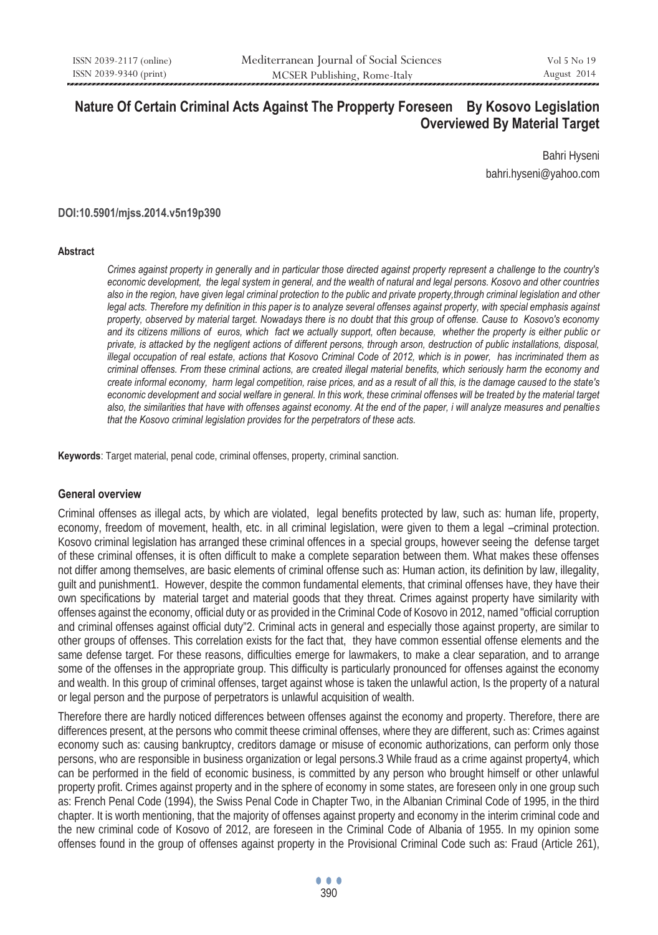# **Nature Of Certain Criminal Acts Against The Propperty Foreseen By Kosovo Legislation Overviewed By Material Target**

Bahri Hyseni bahri.hyseni@yahoo.com

#### **DOI:10.5901/mjss.2014.v5n19p390**

#### **Abstract**

*Crimes against property in generally and in particular those directed against property represent a challenge to the country's economic development, the legal system in general, and the wealth of natural and legal persons. Kosovo and other countries also in the region, have given legal criminal protection to the public and private property,through criminal legislation and other*  legal acts. Therefore my definition in this paper is to analyze several offenses against property, with special emphasis against *property, observed by material target. Nowadays there is no doubt that this group of offense. Cause to Kosovo's economy and its citizens millions of euros, which fact we actually support, often because, whether the property is either public or private, is attacked by the negligent actions of different persons, through arson, destruction of public installations, disposal, illegal occupation of real estate, actions that Kosovo Criminal Code of 2012, which is in power, has incriminated them as criminal offenses. From these criminal actions, are created illegal material benefits, which seriously harm the economy and create informal economy, harm legal competition, raise prices, and as a result of all this, is the damage caused to the state's*  economic development and social welfare in general. In this work, these criminal offenses will be treated by the material target *also, the similarities that have with offenses against economy. At the end of the paper, i will analyze measures and penalties that the Kosovo criminal legislation provides for the perpetrators of these acts.* 

**Keywords**: Target material, penal code, criminal offenses, property, criminal sanction.

#### **General overview**

Criminal offenses as illegal acts, by which are violated, legal benefits protected by law, such as: human life, property, economy, freedom of movement, health, etc. in all criminal legislation, were given to them a legal –criminal protection. Kosovo criminal legislation has arranged these criminal offences in a special groups, however seeing the defense target of these criminal offenses, it is often difficult to make a complete separation between them. What makes these offenses not differ among themselves, are basic elements of criminal offense such as: Human action, its definition by law, illegality, guilt and punishment1. However, despite the common fundamental elements, that criminal offenses have, they have their own specifications by material target and material goods that they threat. Crimes against property have similarity with offenses against the economy, official duty or as provided in the Criminal Code of Kosovo in 2012, named "official corruption and criminal offenses against official duty"2. Criminal acts in general and especially those against property, are similar to other groups of offenses. This correlation exists for the fact that, they have common essential offense elements and the same defense target. For these reasons, difficulties emerge for lawmakers, to make a clear separation, and to arrange some of the offenses in the appropriate group. This difficulty is particularly pronounced for offenses against the economy and wealth. In this group of criminal offenses, target against whose is taken the unlawful action, Is the property of a natural or legal person and the purpose of perpetrators is unlawful acquisition of wealth.

Therefore there are hardly noticed differences between offenses against the economy and property. Therefore, there are differences present, at the persons who commit theese criminal offenses, where they are different, such as: Crimes against economy such as: causing bankruptcy, creditors damage or misuse of economic authorizations, can perform only those persons, who are responsible in business organization or legal persons.3 While fraud as a crime against property4, which can be performed in the field of economic business, is committed by any person who brought himself or other unlawful property profit. Crimes against property and in the sphere of economy in some states, are foreseen only in one group such as: French Penal Code (1994), the Swiss Penal Code in Chapter Two, in the Albanian Criminal Code of 1995, in the third chapter. It is worth mentioning, that the majority of offenses against property and economy in the interim criminal code and the new criminal code of Kosovo of 2012, are foreseen in the Criminal Code of Albania of 1955. In my opinion some offenses found in the group of offenses against property in the Provisional Criminal Code such as: Fraud (Article 261),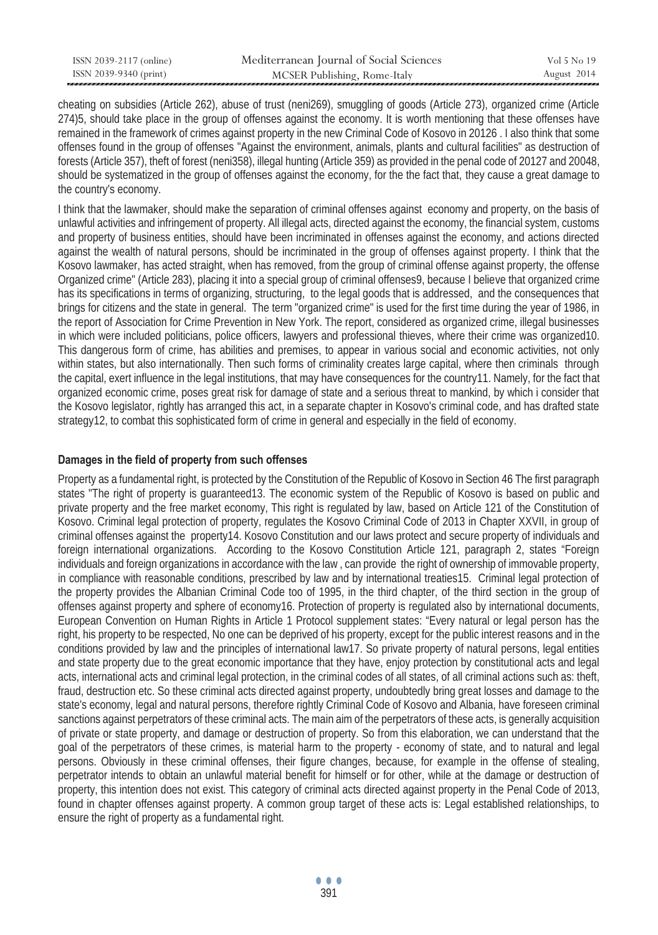| ISSN 2039-2117 (online) | Mediterranean Journal of Social Sciences | Vol 5 No 19 |
|-------------------------|------------------------------------------|-------------|
| ISSN 2039-9340 (print)  | MCSER Publishing, Rome-Italy             | August 2014 |

cheating on subsidies (Article 262), abuse of trust (neni269), smuggling of goods (Article 273), organized crime (Article 274)5, should take place in the group of offenses against the economy. It is worth mentioning that these offenses have remained in the framework of crimes against property in the new Criminal Code of Kosovo in 20126 . I also think that some offenses found in the group of offenses "Against the environment, animals, plants and cultural facilities" as destruction of forests (Article 357), theft of forest (neni358), illegal hunting (Article 359) as provided in the penal code of 20127 and 20048, should be systematized in the group of offenses against the economy, for the the fact that, they cause a great damage to the country's economy.

I think that the lawmaker, should make the separation of criminal offenses against economy and property, on the basis of unlawful activities and infringement of property. All illegal acts, directed against the economy, the financial system, customs and property of business entities, should have been incriminated in offenses against the economy, and actions directed against the wealth of natural persons, should be incriminated in the group of offenses against property. I think that the Kosovo lawmaker, has acted straight, when has removed, from the group of criminal offense against property, the offense Organized crime" (Article 283), placing it into a special group of criminal offenses9, because I believe that organized crime has its specifications in terms of organizing, structuring, to the legal goods that is addressed, and the consequences that brings for citizens and the state in general. The term "organized crime" is used for the first time during the year of 1986, in the report of Association for Crime Prevention in New York. The report, considered as organized crime, illegal businesses in which were included politicians, police officers, lawyers and professional thieves, where their crime was organized10. This dangerous form of crime, has abilities and premises, to appear in various social and economic activities, not only within states, but also internationally. Then such forms of criminality creates large capital, where then criminals through the capital, exert influence in the legal institutions, that may have consequences for the country11. Namely, for the fact that organized economic crime, poses great risk for damage of state and a serious threat to mankind, by which i consider that the Kosovo legislator, rightly has arranged this act, in a separate chapter in Kosovo's criminal code, and has drafted state strategy12, to combat this sophisticated form of crime in general and especially in the field of economy.

### **Damages in the field of property from such offenses**

Property as a fundamental right, is protected by the Constitution of the Republic of Kosovo in Section 46 The first paragraph states "The right of property is guaranteed13. The economic system of the Republic of Kosovo is based on public and private property and the free market economy, This right is regulated by law, based on Article 121 of the Constitution of Kosovo. Criminal legal protection of property, regulates the Kosovo Criminal Code of 2013 in Chapter XXVII, in group of criminal offenses against the property14. Kosovo Constitution and our laws protect and secure property of individuals and foreign international organizations. According to the Kosovo Constitution Article 121, paragraph 2, states "Foreign individuals and foreign organizations in accordance with the law , can provide the right of ownership of immovable property, in compliance with reasonable conditions, prescribed by law and by international treaties15. Criminal legal protection of the property provides the Albanian Criminal Code too of 1995, in the third chapter, of the third section in the group of offenses against property and sphere of economy16. Protection of property is regulated also by international documents, European Convention on Human Rights in Article 1 Protocol supplement states: "Every natural or legal person has the right, his property to be respected, No one can be deprived of his property, except for the public interest reasons and in the conditions provided by law and the principles of international law17. So private property of natural persons, legal entities and state property due to the great economic importance that they have, enjoy protection by constitutional acts and legal acts, international acts and criminal legal protection, in the criminal codes of all states, of all criminal actions such as: theft, fraud, destruction etc. So these criminal acts directed against property, undoubtedly bring great losses and damage to the state's economy, legal and natural persons, therefore rightly Criminal Code of Kosovo and Albania, have foreseen criminal sanctions against perpetrators of these criminal acts. The main aim of the perpetrators of these acts, is generally acquisition of private or state property, and damage or destruction of property. So from this elaboration, we can understand that the goal of the perpetrators of these crimes, is material harm to the property - economy of state, and to natural and legal persons. Obviously in these criminal offenses, their figure changes, because, for example in the offense of stealing, perpetrator intends to obtain an unlawful material benefit for himself or for other, while at the damage or destruction of property, this intention does not exist. This category of criminal acts directed against property in the Penal Code of 2013, found in chapter offenses against property. A common group target of these acts is: Legal established relationships, to ensure the right of property as a fundamental right.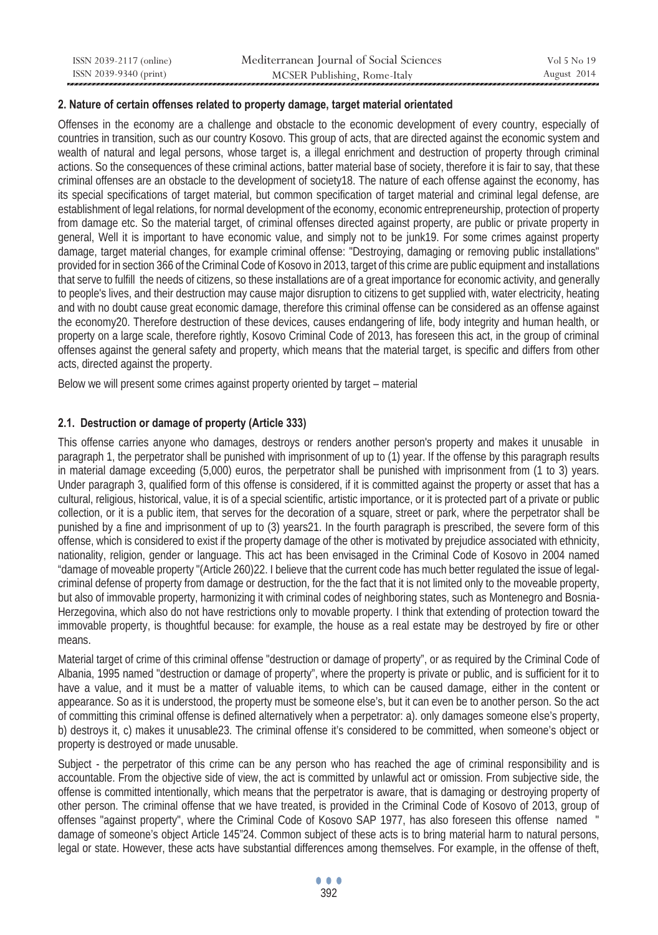| ISSN 2039-2117 (online) | Mediterranean Journal of Social Sciences | Vol 5 No 19 |
|-------------------------|------------------------------------------|-------------|
| ISSN 2039-9340 (print)  | MCSER Publishing, Rome-Italy             | August 2014 |

### **2. Nature of certain offenses related to property damage, target material orientated**

Offenses in the economy are a challenge and obstacle to the economic development of every country, especially of countries in transition, such as our country Kosovo. This group of acts, that are directed against the economic system and wealth of natural and legal persons, whose target is, a illegal enrichment and destruction of property through criminal actions. So the consequences of these criminal actions, batter material base of society, therefore it is fair to say, that these criminal offenses are an obstacle to the development of society18. The nature of each offense against the economy, has its special specifications of target material, but common specification of target material and criminal legal defense, are establishment of legal relations, for normal development of the economy, economic entrepreneurship, protection of property from damage etc. So the material target, of criminal offenses directed against property, are public or private property in general, Well it is important to have economic value, and simply not to be junk19. For some crimes against property damage, target material changes, for example criminal offense: "Destroying, damaging or removing public installations" provided for in section 366 of the Criminal Code of Kosovo in 2013, target of this crime are public equipment and installations that serve to fulfill the needs of citizens, so these installations are of a great importance for economic activity, and generally to people's lives, and their destruction may cause major disruption to citizens to get supplied with, water electricity, heating and with no doubt cause great economic damage, therefore this criminal offense can be considered as an offense against the economy20. Therefore destruction of these devices, causes endangering of life, body integrity and human health, or property on a large scale, therefore rightly, Kosovo Criminal Code of 2013, has foreseen this act, in the group of criminal offenses against the general safety and property, which means that the material target, is specific and differs from other acts, directed against the property.

Below we will present some crimes against property oriented by target – material

### **2.1. Destruction or damage of property (Article 333)**

This offense carries anyone who damages, destroys or renders another person's property and makes it unusable in paragraph 1, the perpetrator shall be punished with imprisonment of up to (1) year. If the offense by this paragraph results in material damage exceeding (5,000) euros, the perpetrator shall be punished with imprisonment from (1 to 3) years. Under paragraph 3, qualified form of this offense is considered, if it is committed against the property or asset that has a cultural, religious, historical, value, it is of a special scientific, artistic importance, or it is protected part of a private or public collection, or it is a public item, that serves for the decoration of a square, street or park, where the perpetrator shall be punished by a fine and imprisonment of up to (3) years21. In the fourth paragraph is prescribed, the severe form of this offense, which is considered to exist if the property damage of the other is motivated by prejudice associated with ethnicity, nationality, religion, gender or language. This act has been envisaged in the Criminal Code of Kosovo in 2004 named "damage of moveable property "(Article 260)22. I believe that the current code has much better regulated the issue of legalcriminal defense of property from damage or destruction, for the the fact that it is not limited only to the moveable property, but also of immovable property, harmonizing it with criminal codes of neighboring states, such as Montenegro and Bosnia-Herzegovina, which also do not have restrictions only to movable property. I think that extending of protection toward the immovable property, is thoughtful because: for example, the house as a real estate may be destroyed by fire or other means.

Material target of crime of this criminal offense "destruction or damage of property", or as required by the Criminal Code of Albania, 1995 named "destruction or damage of property", where the property is private or public, and is sufficient for it to have a value, and it must be a matter of valuable items, to which can be caused damage, either in the content or appearance. So as it is understood, the property must be someone else's, but it can even be to another person. So the act of committing this criminal offense is defined alternatively when a perpetrator: a). only damages someone else's property, b) destroys it, c) makes it unusable23. The criminal offense it's considered to be committed, when someone's object or property is destroyed or made unusable.

Subject - the perpetrator of this crime can be any person who has reached the age of criminal responsibility and is accountable. From the objective side of view, the act is committed by unlawful act or omission. From subjective side, the offense is committed intentionally, which means that the perpetrator is aware, that is damaging or destroying property of other person. The criminal offense that we have treated, is provided in the Criminal Code of Kosovo of 2013, group of offenses "against property", where the Criminal Code of Kosovo SAP 1977, has also foreseen this offense named " damage of someone's object Article 145"24. Common subject of these acts is to bring material harm to natural persons, legal or state. However, these acts have substantial differences among themselves. For example, in the offense of theft,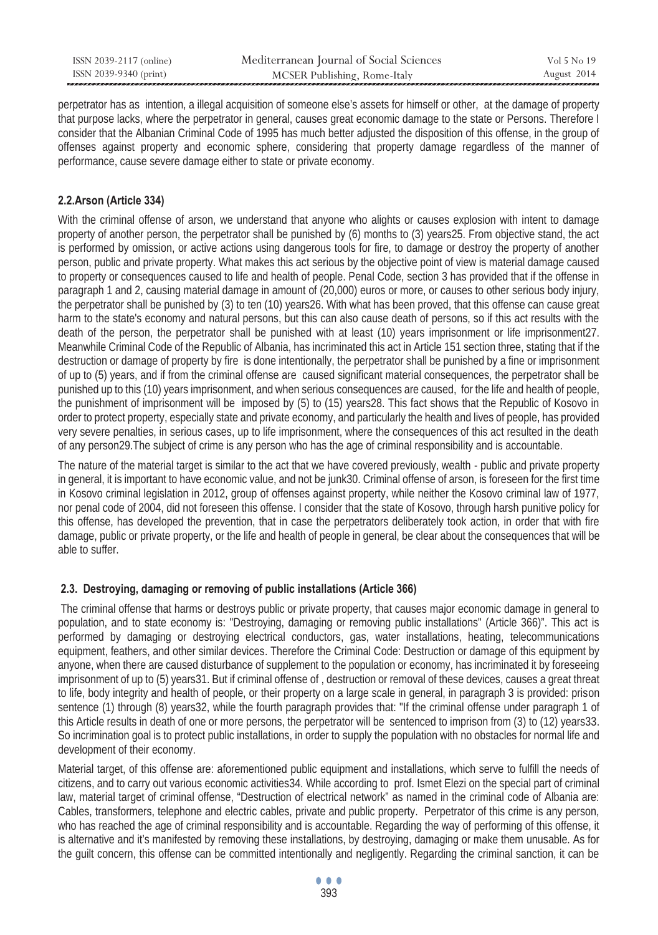| ISSN 2039-2117 (online) | Mediterranean Journal of Social Sciences | Vol 5 No 19 |
|-------------------------|------------------------------------------|-------------|
| ISSN 2039-9340 (print)  | MCSER Publishing, Rome-Italy             | August 2014 |

perpetrator has as intention, a illegal acquisition of someone else's assets for himself or other, at the damage of property that purpose lacks, where the perpetrator in general, causes great economic damage to the state or Persons. Therefore I consider that the Albanian Criminal Code of 1995 has much better adjusted the disposition of this offense, in the group of offenses against property and economic sphere, considering that property damage regardless of the manner of performance, cause severe damage either to state or private economy.

# **2.2.Arson (Article 334)**

With the criminal offense of arson, we understand that anyone who alights or causes explosion with intent to damage property of another person, the perpetrator shall be punished by (6) months to (3) years25. From objective stand, the act is performed by omission, or active actions using dangerous tools for fire, to damage or destroy the property of another person, public and private property. What makes this act serious by the objective point of view is material damage caused to property or consequences caused to life and health of people. Penal Code, section 3 has provided that if the offense in paragraph 1 and 2, causing material damage in amount of (20,000) euros or more, or causes to other serious body injury, the perpetrator shall be punished by (3) to ten (10) years26. With what has been proved, that this offense can cause great harm to the state's economy and natural persons, but this can also cause death of persons, so if this act results with the death of the person, the perpetrator shall be punished with at least (10) years imprisonment or life imprisonment27. Meanwhile Criminal Code of the Republic of Albania, has incriminated this act in Article 151 section three, stating that if the destruction or damage of property by fire is done intentionally, the perpetrator shall be punished by a fine or imprisonment of up to (5) years, and if from the criminal offense are caused significant material consequences, the perpetrator shall be punished up to this (10) years imprisonment, and when serious consequences are caused, for the life and health of people, the punishment of imprisonment will be imposed by (5) to (15) years28. This fact shows that the Republic of Kosovo in order to protect property, especially state and private economy, and particularly the health and lives of people, has provided very severe penalties, in serious cases, up to life imprisonment, where the consequences of this act resulted in the death of any person29.The subject of crime is any person who has the age of criminal responsibility and is accountable.

The nature of the material target is similar to the act that we have covered previously, wealth - public and private property in general, it is important to have economic value, and not be junk30. Criminal offense of arson, is foreseen for the first time in Kosovo criminal legislation in 2012, group of offenses against property, while neither the Kosovo criminal law of 1977, nor penal code of 2004, did not foreseen this offense. I consider that the state of Kosovo, through harsh punitive policy for this offense, has developed the prevention, that in case the perpetrators deliberately took action, in order that with fire damage, public or private property, or the life and health of people in general, be clear about the consequences that will be able to suffer.

## **2.3. Destroying, damaging or removing of public installations (Article 366)**

 The criminal offense that harms or destroys public or private property, that causes major economic damage in general to population, and to state economy is: "Destroying, damaging or removing public installations" (Article 366)". This act is performed by damaging or destroying electrical conductors, gas, water installations, heating, telecommunications equipment, feathers, and other similar devices. Therefore the Criminal Code: Destruction or damage of this equipment by anyone, when there are caused disturbance of supplement to the population or economy, has incriminated it by foreseeing imprisonment of up to (5) years31. But if criminal offense of , destruction or removal of these devices, causes a great threat to life, body integrity and health of people, or their property on a large scale in general, in paragraph 3 is provided: prison sentence (1) through (8) years32, while the fourth paragraph provides that: "If the criminal offense under paragraph 1 of this Article results in death of one or more persons, the perpetrator will be sentenced to imprison from (3) to (12) years33. So incrimination goal is to protect public installations, in order to supply the population with no obstacles for normal life and development of their economy.

Material target, of this offense are: aforementioned public equipment and installations, which serve to fulfill the needs of citizens, and to carry out various economic activities34. While according to prof. Ismet Elezi on the special part of criminal law, material target of criminal offense, "Destruction of electrical network" as named in the criminal code of Albania are: Cables, transformers, telephone and electric cables, private and public property. Perpetrator of this crime is any person, who has reached the age of criminal responsibility and is accountable. Regarding the way of performing of this offense, it is alternative and it's manifested by removing these installations, by destroying, damaging or make them unusable. As for the guilt concern, this offense can be committed intentionally and negligently. Regarding the criminal sanction, it can be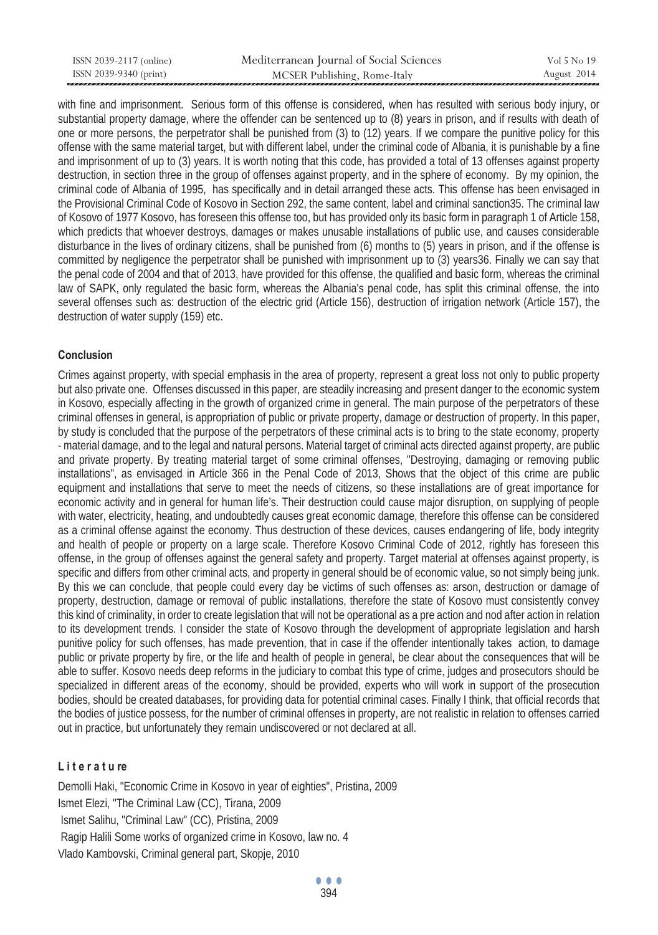| ISSN 2039-2117 (online) | Mediterranean Journal of Social Sciences | Vol 5 No 19 |
|-------------------------|------------------------------------------|-------------|
| ISSN 2039-9340 (print)  | MCSER Publishing, Rome-Italy             | August 2014 |

with fine and imprisonment. Serious form of this offense is considered, when has resulted with serious body injury, or substantial property damage, where the offender can be sentenced up to (8) years in prison, and if results with death of one or more persons, the perpetrator shall be punished from (3) to (12) years. If we compare the punitive policy for this offense with the same material target, but with different label, under the criminal code of Albania, it is punishable by a fine and imprisonment of up to (3) years. It is worth noting that this code, has provided a total of 13 offenses against property destruction, in section three in the group of offenses against property, and in the sphere of economy. By my opinion, the criminal code of Albania of 1995, has specifically and in detail arranged these acts. This offense has been envisaged in the Provisional Criminal Code of Kosovo in Section 292, the same content, label and criminal sanction35. The criminal law of Kosovo of 1977 Kosovo, has foreseen this offense too, but has provided only its basic form in paragraph 1 of Article 158, which predicts that whoever destroys, damages or makes unusable installations of public use, and causes considerable disturbance in the lives of ordinary citizens, shall be punished from (6) months to (5) years in prison, and if the offense is committed by negligence the perpetrator shall be punished with imprisonment up to (3) years36. Finally we can say that the penal code of 2004 and that of 2013, have provided for this offense, the qualified and basic form, whereas the criminal law of SAPK, only regulated the basic form, whereas the Albania's penal code, has split this criminal offense, the into several offenses such as: destruction of the electric grid (Article 156), destruction of irrigation network (Article 157), the destruction of water supply (159) etc.

### **Conclusion**

Crimes against property, with special emphasis in the area of property, represent a great loss not only to public property but also private one. Offenses discussed in this paper, are steadily increasing and present danger to the economic system in Kosovo, especially affecting in the growth of organized crime in general. The main purpose of the perpetrators of these criminal offenses in general, is appropriation of public or private property, damage or destruction of property. In this paper, by study is concluded that the purpose of the perpetrators of these criminal acts is to bring to the state economy, property - material damage, and to the legal and natural persons. Material target of criminal acts directed against property, are public and private property. By treating material target of some criminal offenses, "Destroying, damaging or removing public installations", as envisaged in Article 366 in the Penal Code of 2013, Shows that the object of this crime are public equipment and installations that serve to meet the needs of citizens, so these installations are of great importance for economic activity and in general for human life's. Their destruction could cause major disruption, on supplying of people with water, electricity, heating, and undoubtedly causes great economic damage, therefore this offense can be considered as a criminal offense against the economy. Thus destruction of these devices, causes endangering of life, body integrity and health of people or property on a large scale. Therefore Kosovo Criminal Code of 2012, rightly has foreseen this offense, in the group of offenses against the general safety and property. Target material at offenses against property, is specific and differs from other criminal acts, and property in general should be of economic value, so not simply being junk. By this we can conclude, that people could every day be victims of such offenses as: arson, destruction or damage of property, destruction, damage or removal of public installations, therefore the state of Kosovo must consistently convey this kind of criminality, in order to create legislation that will not be operational as a pre action and nod after action in relation to its development trends. I consider the state of Kosovo through the development of appropriate legislation and harsh punitive policy for such offenses, has made prevention, that in case if the offender intentionally takes action, to damage public or private property by fire, or the life and health of people in general, be clear about the consequences that will be able to suffer. Kosovo needs deep reforms in the judiciary to combat this type of crime, judges and prosecutors should be specialized in different areas of the economy, should be provided, experts who will work in support of the prosecution bodies, should be created databases, for providing data for potential criminal cases. Finally I think, that official records that the bodies of justice possess, for the number of criminal offenses in property, are not realistic in relation to offenses carried out in practice, but unfortunately they remain undiscovered or not declared at all.

#### **L i t e r a t u re**

Demolli Haki, "Economic Crime in Kosovo in year of eighties", Pristina, 2009 Ismet Elezi, "The Criminal Law (CC), Tirana, 2009 Ismet Salihu, "Criminal Law" (CC), Pristina, 2009 Ragip Halili Some works of organized crime in Kosovo, law no. 4 Vlado Kambovski, Criminal general part, Skopje, 2010